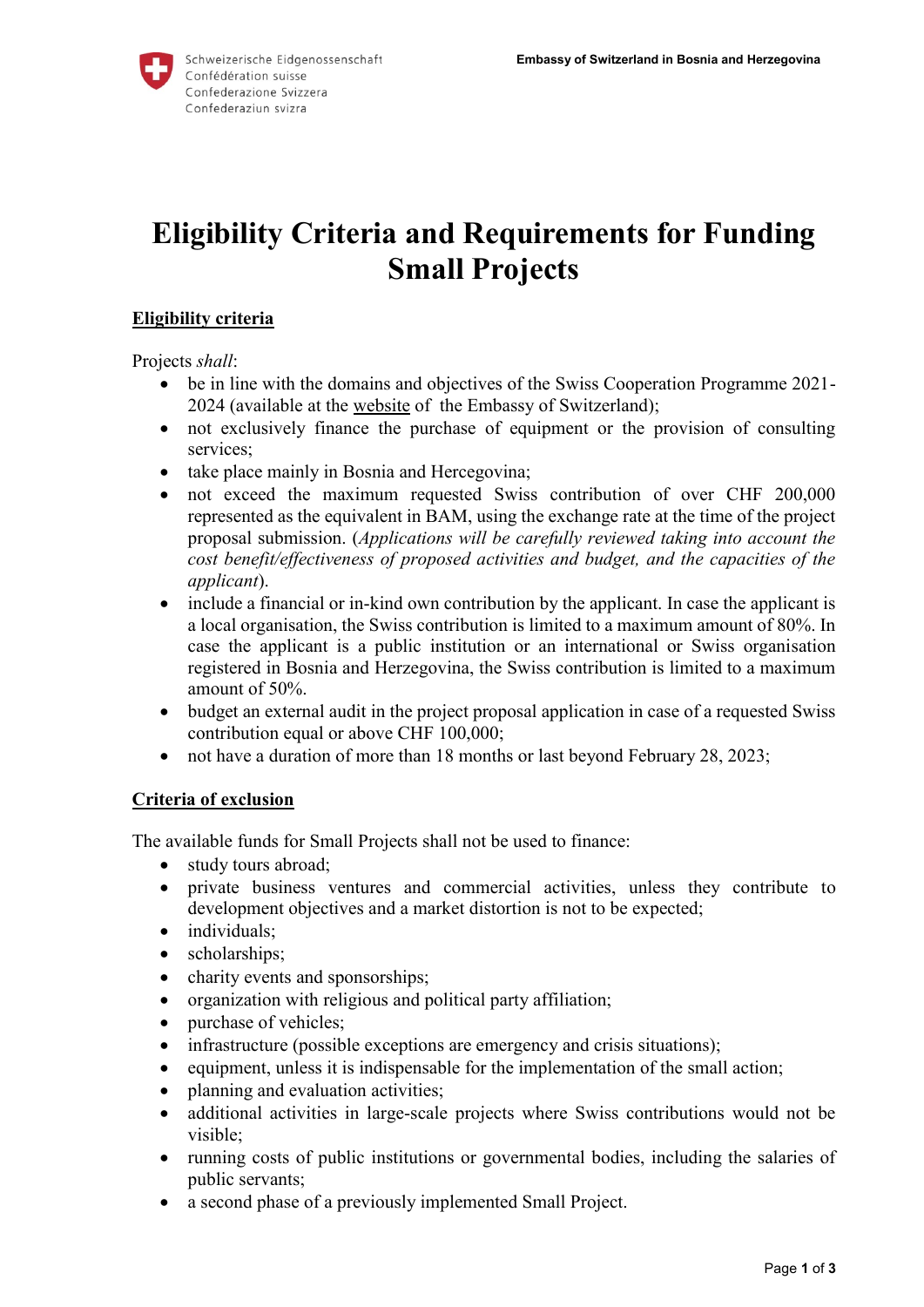

# **Eligibility Criteria and Requirements for Funding Small Projects**

### **Eligibility criteria**

Projects *shall*:

- be in line with the domains and objectives of the Swiss Cooperation Programme 2021- 2024 (available at the [website](https://www.eda.admin.ch/countries/bosnia-and-herzegovina/en/home/international-cooperation/strategy/effectiveness.html) of the Embassy of Switzerland);
- not exclusively finance the purchase of equipment or the provision of consulting services;
- take place mainly in Bosnia and Hercegovina;
- not exceed the maximum requested Swiss contribution of over CHF 200,000 represented as the equivalent in BAM, using the exchange rate at the time of the project proposal submission. (*Applications will be carefully reviewed taking into account the cost benefit/effectiveness of proposed activities and budget, and the capacities of the applicant*).
- include a financial or in-kind own contribution by the applicant. In case the applicant is a local organisation, the Swiss contribution is limited to a maximum amount of 80%. In case the applicant is a public institution or an international or Swiss organisation registered in Bosnia and Herzegovina, the Swiss contribution is limited to a maximum amount of 50%.
- budget an external audit in the project proposal application in case of a requested Swiss contribution equal or above CHF 100,000;
- not have a duration of more than 18 months or last beyond February 28, 2023;

#### **Criteria of exclusion**

The available funds for Small Projects shall not be used to finance:

- study tours abroad;
- private business ventures and commercial activities, unless they contribute to development objectives and a market distortion is not to be expected;
- individuals;
- scholarships;
- charity events and sponsorships;
- organization with religious and political party affiliation;
- purchase of vehicles;
- infrastructure (possible exceptions are emergency and crisis situations);
- equipment, unless it is indispensable for the implementation of the small action;
- planning and evaluation activities;
- additional activities in large-scale projects where Swiss contributions would not be visible;
- running costs of public institutions or governmental bodies, including the salaries of public servants;
- a second phase of a previously implemented Small Project.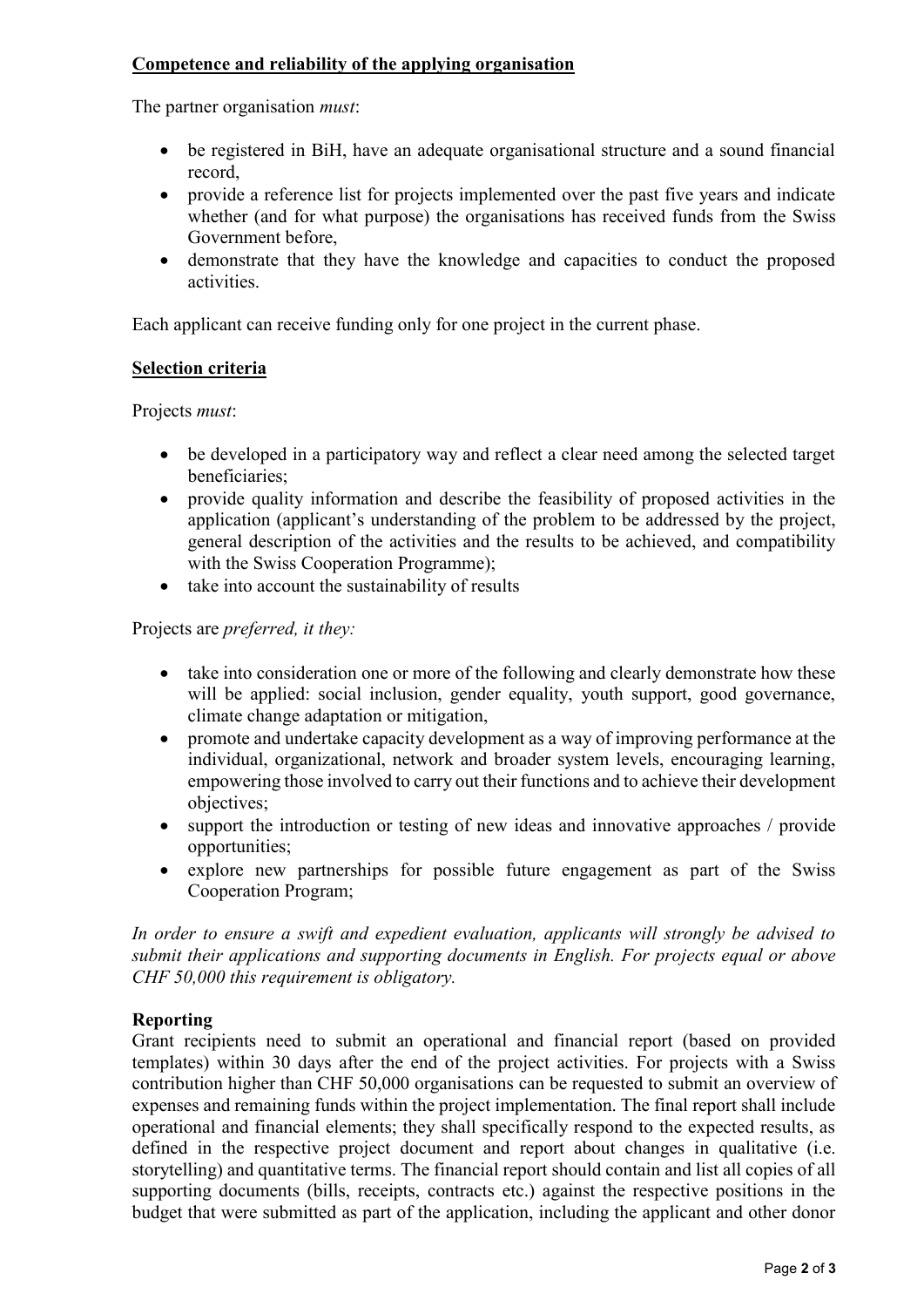# **Competence and reliability of the applying organisation**

The partner organisation *must*:

- be registered in BiH, have an adequate organisational structure and a sound financial record,
- provide a reference list for projects implemented over the past five years and indicate whether (and for what purpose) the organisations has received funds from the Swiss Government before,
- demonstrate that they have the knowledge and capacities to conduct the proposed activities.

Each applicant can receive funding only for one project in the current phase.

# **Selection criteria**

Projects *must*:

- be developed in a participatory way and reflect a clear need among the selected target beneficiaries;
- provide quality information and describe the feasibility of proposed activities in the application (applicant's understanding of the problem to be addressed by the project, general description of the activities and the results to be achieved, and compatibility with the Swiss Cooperation Programme);
- take into account the sustainability of results

Projects are *preferred, it they:*

- take into consideration one or more of the following and clearly demonstrate how these will be applied: social inclusion, gender equality, youth support, good governance, climate change adaptation or mitigation,
- promote and undertake capacity development as a way of improving performance at the individual, organizational, network and broader system levels, encouraging learning, empowering those involved to carry out their functions and to achieve their development objectives;
- support the introduction or testing of new ideas and innovative approaches / provide opportunities;
- explore new partnerships for possible future engagement as part of the Swiss Cooperation Program;

*In order to ensure a swift and expedient evaluation, applicants will strongly be advised to submit their applications and supporting documents in English. For projects equal or above CHF 50,000 this requirement is obligatory.*

# **Reporting**

Grant recipients need to submit an operational and financial report (based on provided templates) within 30 days after the end of the project activities. For projects with a Swiss contribution higher than CHF 50,000 organisations can be requested to submit an overview of expenses and remaining funds within the project implementation. The final report shall include operational and financial elements; they shall specifically respond to the expected results, as defined in the respective project document and report about changes in qualitative (i.e. storytelling) and quantitative terms. The financial report should contain and list all copies of all supporting documents (bills, receipts, contracts etc.) against the respective positions in the budget that were submitted as part of the application, including the applicant and other donor